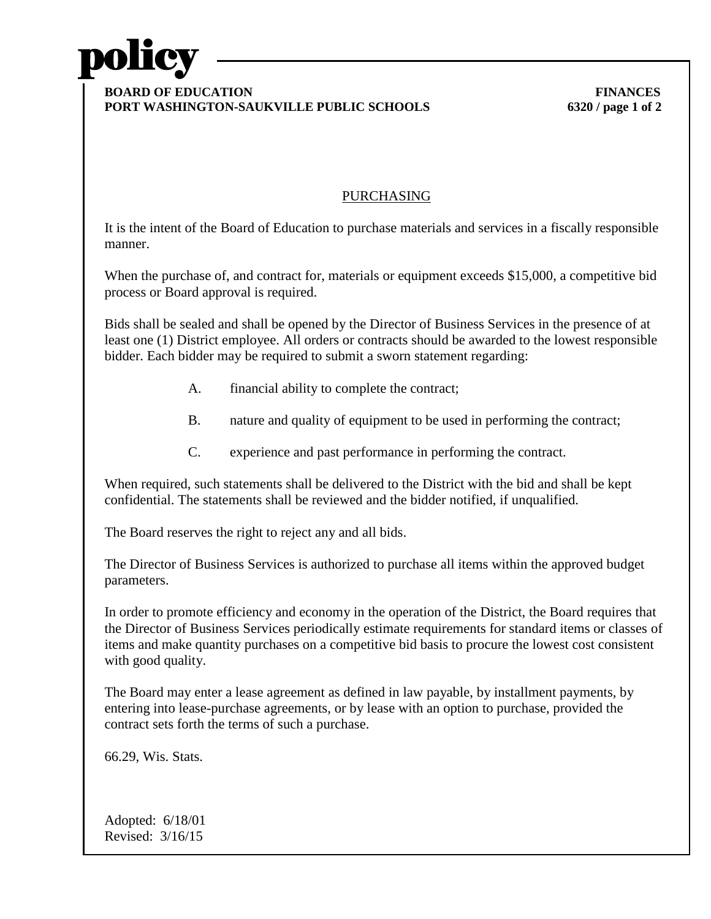

## **BOARD OF EDUCATION FINANCES PORT WASHINGTON-SAUKVILLE PUBLIC SCHOOLS 6320 / page 1 of 2**

## PURCHASING

It is the intent of the Board of Education to purchase materials and services in a fiscally responsible manner.

When the purchase of, and contract for, materials or equipment exceeds \$15,000, a competitive bid process or Board approval is required.

Bids shall be sealed and shall be opened by the Director of Business Services in the presence of at least one (1) District employee. All orders or contracts should be awarded to the lowest responsible bidder. Each bidder may be required to submit a sworn statement regarding:

- A. financial ability to complete the contract;
- B. nature and quality of equipment to be used in performing the contract;
- C. experience and past performance in performing the contract.

When required, such statements shall be delivered to the District with the bid and shall be kept confidential. The statements shall be reviewed and the bidder notified, if unqualified.

The Board reserves the right to reject any and all bids.

The Director of Business Services is authorized to purchase all items within the approved budget parameters.

In order to promote efficiency and economy in the operation of the District, the Board requires that the Director of Business Services periodically estimate requirements for standard items or classes of items and make quantity purchases on a competitive bid basis to procure the lowest cost consistent with good quality.

The Board may enter a lease agreement as defined in law payable, by installment payments, by entering into lease-purchase agreements, or by lease with an option to purchase, provided the contract sets forth the terms of such a purchase.

66.29, Wis. Stats.

Adopted: 6/18/01 Revised: 3/16/15